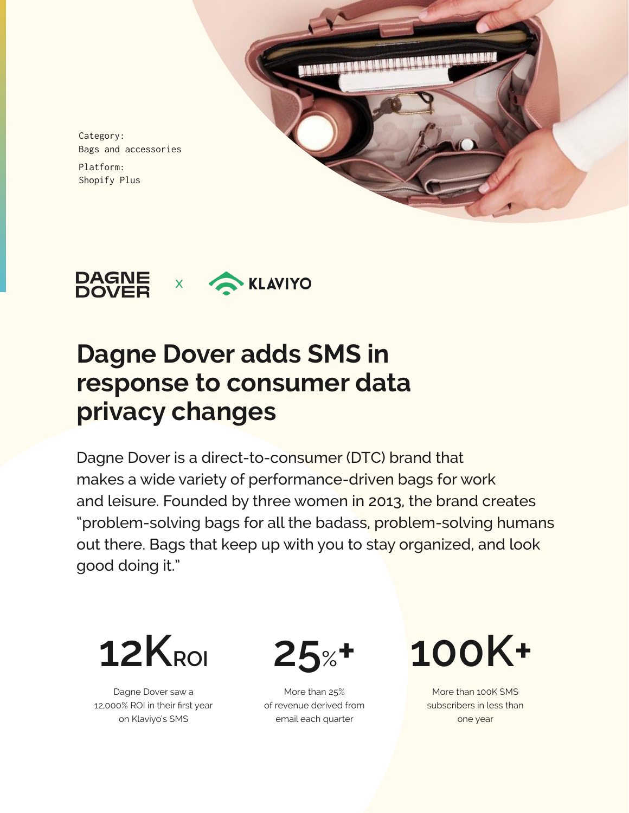Category: Bags and accessories

Platform: Shopify Plus



# **Dagne Dover adds SMS in response to consumer data privacy changes**

Dagne Dover is a direct-to-consumer (DTC) brand that makes a wide variety of performance-driven bags for work and leisure. Founded by three women in 2013, the brand creates "problem-solving bags for all the badass, problem-solving humans out there. Bags that keep up with you to stay organized, and look good doing it."



Dagne Dover saw a 12,000% ROI in their first year on Klaviyo's SMS



More than 25% of revenue derived from email each quarter

**100K+**

More than 100K SMS subscribers in less than one year